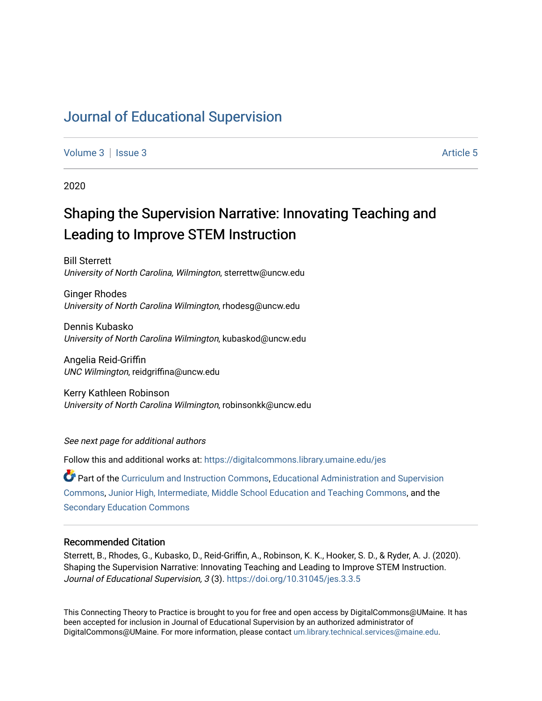# [Journal of Educational Supervision](https://digitalcommons.library.umaine.edu/jes)

[Volume 3](https://digitalcommons.library.umaine.edu/jes/vol3) | [Issue 3](https://digitalcommons.library.umaine.edu/jes/vol3/iss3) Article 5

2020

# Shaping the Supervision Narrative: Innovating Teaching and Leading to Improve STEM Instruction

Bill Sterrett University of North Carolina, Wilmington, sterrettw@uncw.edu

Ginger Rhodes University of North Carolina Wilmington, rhodesg@uncw.edu

Dennis Kubasko University of North Carolina Wilmington, kubaskod@uncw.edu

Angelia Reid-Griffin UNC Wilmington, reidgriffina@uncw.edu

Kerry Kathleen Robinson University of North Carolina Wilmington, robinsonkk@uncw.edu

See next page for additional authors

Follow this and additional works at: [https://digitalcommons.library.umaine.edu/jes](https://digitalcommons.library.umaine.edu/jes?utm_source=digitalcommons.library.umaine.edu%2Fjes%2Fvol3%2Fiss3%2F5&utm_medium=PDF&utm_campaign=PDFCoverPages)

Part of the [Curriculum and Instruction Commons,](http://network.bepress.com/hgg/discipline/786?utm_source=digitalcommons.library.umaine.edu%2Fjes%2Fvol3%2Fiss3%2F5&utm_medium=PDF&utm_campaign=PDFCoverPages) [Educational Administration and Supervision](http://network.bepress.com/hgg/discipline/787?utm_source=digitalcommons.library.umaine.edu%2Fjes%2Fvol3%2Fiss3%2F5&utm_medium=PDF&utm_campaign=PDFCoverPages)  [Commons](http://network.bepress.com/hgg/discipline/787?utm_source=digitalcommons.library.umaine.edu%2Fjes%2Fvol3%2Fiss3%2F5&utm_medium=PDF&utm_campaign=PDFCoverPages), [Junior High, Intermediate, Middle School Education and Teaching Commons,](http://network.bepress.com/hgg/discipline/807?utm_source=digitalcommons.library.umaine.edu%2Fjes%2Fvol3%2Fiss3%2F5&utm_medium=PDF&utm_campaign=PDFCoverPages) and the [Secondary Education Commons](http://network.bepress.com/hgg/discipline/1382?utm_source=digitalcommons.library.umaine.edu%2Fjes%2Fvol3%2Fiss3%2F5&utm_medium=PDF&utm_campaign=PDFCoverPages)

#### Recommended Citation

Sterrett, B., Rhodes, G., Kubasko, D., Reid-Griffin, A., Robinson, K. K., Hooker, S. D., & Ryder, A. J. (2020). Shaping the Supervision Narrative: Innovating Teaching and Leading to Improve STEM Instruction. Journal of Educational Supervision, 3 (3).<https://doi.org/10.31045/jes.3.3.5>

This Connecting Theory to Practice is brought to you for free and open access by DigitalCommons@UMaine. It has been accepted for inclusion in Journal of Educational Supervision by an authorized administrator of DigitalCommons@UMaine. For more information, please contact [um.library.technical.services@maine.edu](mailto:um.library.technical.services@maine.edu).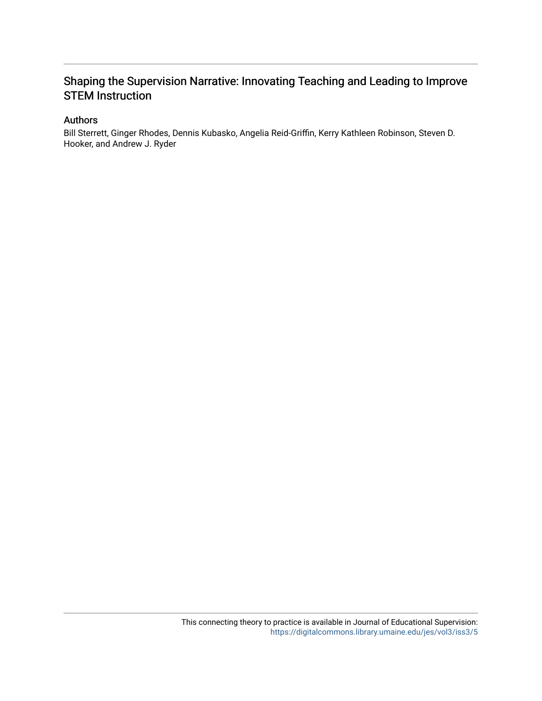# Shaping the Supervision Narrative: Innovating Teaching and Leading to Improve STEM Instruction

#### Authors

Bill Sterrett, Ginger Rhodes, Dennis Kubasko, Angelia Reid-Griffin, Kerry Kathleen Robinson, Steven D. Hooker, and Andrew J. Ryder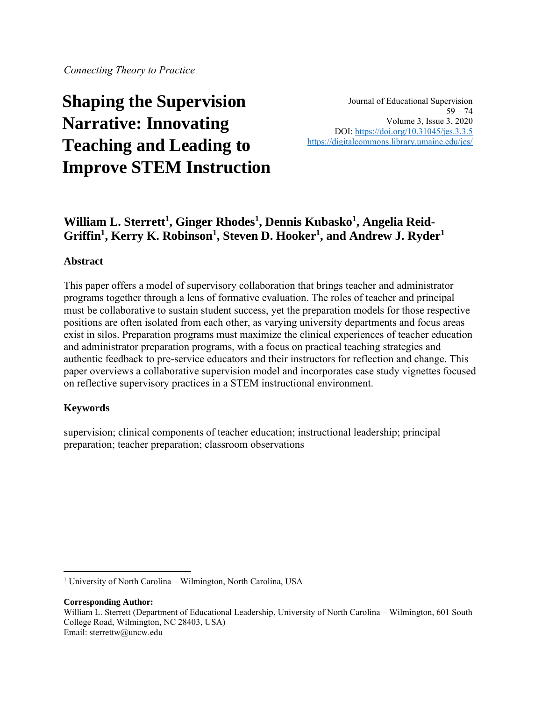# **Shaping the Supervision Narrative: Innovating Teaching and Leading to Improve STEM Instruction**

Journal of Educational Supervision  $59 - 74$ Volume 3, Issue 3, 2020 DOI:<https://doi.org/10.31045/jes.3.3.5> <https://digitalcommons.library.umaine.edu/jes/>

# **William L. Sterrett<sup>1</sup> , Ginger Rhodes<sup>1</sup> , Dennis Kubasko<sup>1</sup> , Angelia Reid-Griffin<sup>1</sup> , Kerry K. Robinson<sup>1</sup> , Steven D. Hooker<sup>1</sup> , and Andrew J. Ryder<sup>1</sup>**

#### **Abstract**

This paper offers a model of supervisory collaboration that brings teacher and administrator programs together through a lens of formative evaluation. The roles of teacher and principal must be collaborative to sustain student success, yet the preparation models for those respective positions are often isolated from each other, as varying university departments and focus areas exist in silos. Preparation programs must maximize the clinical experiences of teacher education and administrator preparation programs, with a focus on practical teaching strategies and authentic feedback to pre-service educators and their instructors for reflection and change. This paper overviews a collaborative supervision model and incorporates case study vignettes focused on reflective supervisory practices in a STEM instructional environment.

#### **Keywords**

supervision; clinical components of teacher education; instructional leadership; principal preparation; teacher preparation; classroom observations

#### **Corresponding Author:**

<sup>1</sup> University of North Carolina – Wilmington, North Carolina, USA

William L. Sterrett (Department of Educational Leadership, University of North Carolina – Wilmington, 601 South College Road, Wilmington, NC 28403, USA) Email: sterrettw@uncw.edu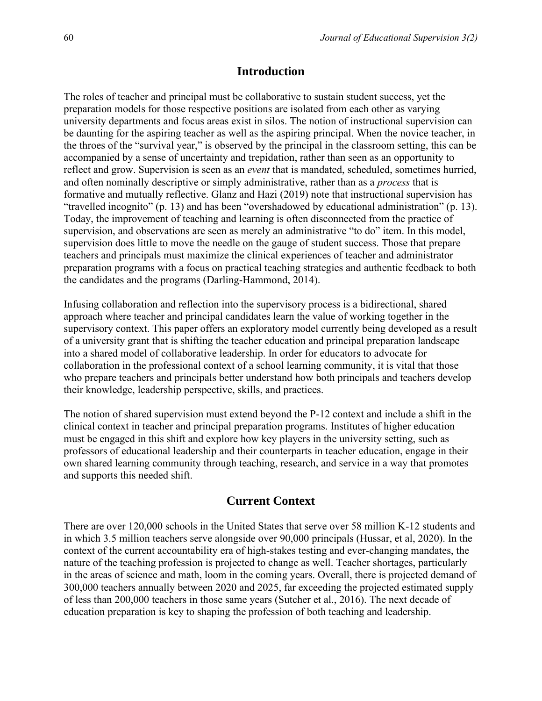#### **Introduction**

The roles of teacher and principal must be collaborative to sustain student success, yet the preparation models for those respective positions are isolated from each other as varying university departments and focus areas exist in silos. The notion of instructional supervision can be daunting for the aspiring teacher as well as the aspiring principal. When the novice teacher, in the throes of the "survival year," is observed by the principal in the classroom setting, this can be accompanied by a sense of uncertainty and trepidation, rather than seen as an opportunity to reflect and grow. Supervision is seen as an *event* that is mandated, scheduled, sometimes hurried, and often nominally descriptive or simply administrative, rather than as a *process* that is formative and mutually reflective. Glanz and Hazi (2019) note that instructional supervision has "travelled incognito" (p. 13) and has been "overshadowed by educational administration" (p. 13). Today, the improvement of teaching and learning is often disconnected from the practice of supervision, and observations are seen as merely an administrative "to do" item. In this model, supervision does little to move the needle on the gauge of student success. Those that prepare teachers and principals must maximize the clinical experiences of teacher and administrator preparation programs with a focus on practical teaching strategies and authentic feedback to both the candidates and the programs (Darling-Hammond, 2014).

Infusing collaboration and reflection into the supervisory process is a bidirectional, shared approach where teacher and principal candidates learn the value of working together in the supervisory context. This paper offers an exploratory model currently being developed as a result of a university grant that is shifting the teacher education and principal preparation landscape into a shared model of collaborative leadership. In order for educators to advocate for collaboration in the professional context of a school learning community, it is vital that those who prepare teachers and principals better understand how both principals and teachers develop their knowledge, leadership perspective, skills, and practices.

The notion of shared supervision must extend beyond the P-12 context and include a shift in the clinical context in teacher and principal preparation programs. Institutes of higher education must be engaged in this shift and explore how key players in the university setting, such as professors of educational leadership and their counterparts in teacher education, engage in their own shared learning community through teaching, research, and service in a way that promotes and supports this needed shift.

#### **Current Context**

There are over 120,000 schools in the United States that serve over 58 million K-12 students and in which 3.5 million teachers serve alongside over 90,000 principals (Hussar, et al, 2020). In the context of the current accountability era of high-stakes testing and ever-changing mandates, the nature of the teaching profession is projected to change as well. Teacher shortages, particularly in the areas of science and math, loom in the coming years. Overall, there is projected demand of 300,000 teachers annually between 2020 and 2025, far exceeding the projected estimated supply of less than 200,000 teachers in those same years (Sutcher et al., 2016). The next decade of education preparation is key to shaping the profession of both teaching and leadership.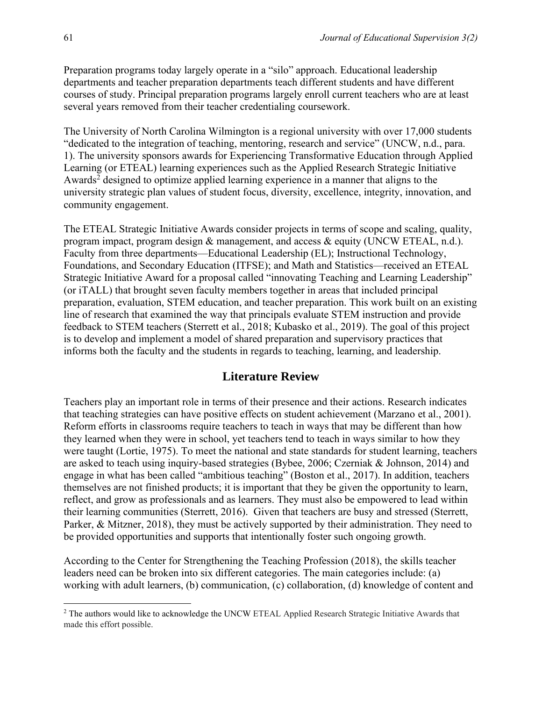Preparation programs today largely operate in a "silo" approach. Educational leadership departments and teacher preparation departments teach different students and have different courses of study. Principal preparation programs largely enroll current teachers who are at least several years removed from their teacher credentialing coursework.

The University of North Carolina Wilmington is a regional university with over 17,000 students "dedicated to the integration of teaching, mentoring, research and service" (UNCW, n.d., para. 1). The university sponsors awards for Experiencing Transformative Education through Applied Learning (or ETEAL) learning experiences such as the Applied Research Strategic Initiative Awards<sup>2</sup> designed to optimize applied learning experience in a manner that aligns to the university strategic plan values of student focus, diversity, excellence, integrity, innovation, and community engagement.

The ETEAL Strategic Initiative Awards consider projects in terms of scope and scaling, quality, program impact, program design & management, and access & equity (UNCW ETEAL, n.d.). Faculty from three departments—Educational Leadership (EL); Instructional Technology, Foundations, and Secondary Education (ITFSE); and Math and Statistics—received an ETEAL Strategic Initiative Award for a proposal called "innovating Teaching and Learning Leadership" (or iTALL) that brought seven faculty members together in areas that included principal preparation, evaluation, STEM education, and teacher preparation. This work built on an existing line of research that examined the way that principals evaluate STEM instruction and provide feedback to STEM teachers (Sterrett et al., 2018; Kubasko et al., 2019). The goal of this project is to develop and implement a model of shared preparation and supervisory practices that informs both the faculty and the students in regards to teaching, learning, and leadership.

#### **Literature Review**

Teachers play an important role in terms of their presence and their actions. Research indicates that teaching strategies can have positive effects on student achievement (Marzano et al., 2001). Reform efforts in classrooms require teachers to teach in ways that may be different than how they learned when they were in school, yet teachers tend to teach in ways similar to how they were taught (Lortie, 1975). To meet the national and state standards for student learning, teachers are asked to teach using inquiry-based strategies (Bybee, 2006; Czerniak & Johnson, 2014) and engage in what has been called "ambitious teaching" (Boston et al., 2017). In addition, teachers themselves are not finished products; it is important that they be given the opportunity to learn, reflect, and grow as professionals and as learners. They must also be empowered to lead within their learning communities (Sterrett, 2016). Given that teachers are busy and stressed (Sterrett, Parker, & Mitzner, 2018), they must be actively supported by their administration. They need to be provided opportunities and supports that intentionally foster such ongoing growth.

According to the Center for Strengthening the Teaching Profession (2018), the skills teacher leaders need can be broken into six different categories. The main categories include: (a) working with adult learners, (b) communication, (c) collaboration, (d) knowledge of content and

<sup>&</sup>lt;sup>2</sup> The authors would like to acknowledge the UNCW ETEAL Applied Research Strategic Initiative Awards that made this effort possible.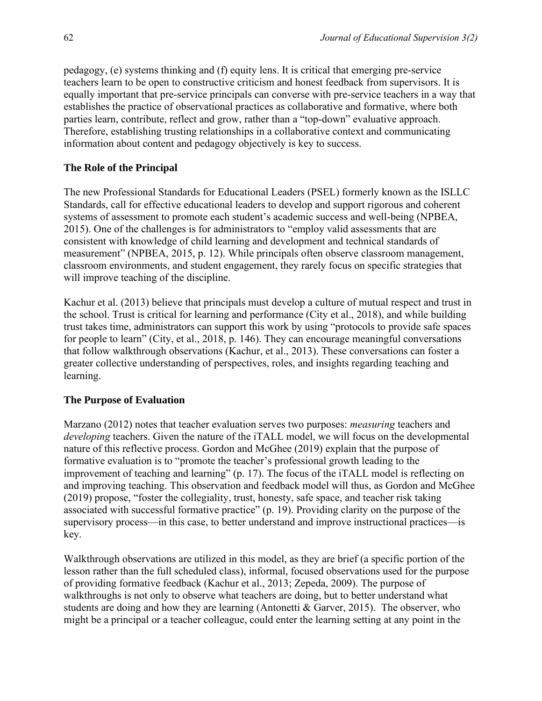pedagogy, (e) systems thinking and (f) equity lens. It is critical that emerging pre-service teachers learn to be open to constructive criticism and honest feedback from supervisors. It is equally important that pre-service principals can converse with pre-service teachers in a way that establishes the practice of observational practices as collaborative and formative, where both parties learn, contribute, reflect and grow, rather than a "top-down" evaluative approach. Therefore, establishing trusting relationships in a collaborative context and communicating information about content and pedagogy objectively is key to success.

#### **The Role of the Principal**

The new Professional Standards for Educational Leaders (PSEL) formerly known as the ISLLC Standards, call for effective educational leaders to develop and support rigorous and coherent systems of assessment to promote each student's academic success and well-being (NPBEA, 2015). One of the challenges is for administrators to "employ valid assessments that are consistent with knowledge of child learning and development and technical standards of measurement" (NPBEA, 2015, p. 12). While principals often observe classroom management, classroom environments, and student engagement, they rarely focus on specific strategies that will improve teaching of the discipline.

Kachur et al. (2013) believe that principals must develop a culture of mutual respect and trust in the school. Trust is critical for learning and performance (City et al., 2018), and while building trust takes time, administrators can support this work by using "protocols to provide safe spaces for people to learn" (City, et al., 2018, p. 146). They can encourage meaningful conversations that follow walkthrough observations (Kachur, et al., 2013). These conversations can foster a greater collective understanding of perspectives, roles, and insights regarding teaching and learning.

#### **The Purpose of Evaluation**

Marzano (2012) notes that teacher evaluation serves two purposes: *measuring* teachers and *developing* teachers. Given the nature of the iTALL model, we will focus on the developmental nature of this reflective process. Gordon and McGhee (2019) explain that the purpose of formative evaluation is to "promote the teacher's professional growth leading to the improvement of teaching and learning" (p. 17). The focus of the iTALL model is reflecting on and improving teaching. This observation and feedback model will thus, as Gordon and McGhee (2019) propose, "foster the collegiality, trust, honesty, safe space, and teacher risk taking associated with successful formative practice" (p. 19). Providing clarity on the purpose of the supervisory process—in this case, to better understand and improve instructional practices—is key.

Walkthrough observations are utilized in this model, as they are brief (a specific portion of the lesson rather than the full scheduled class), informal, focused observations used for the purpose of providing formative feedback (Kachur et al., 2013; Zepeda, 2009). The purpose of walkthroughs is not only to observe what teachers are doing, but to better understand what students are doing and how they are learning (Antonetti & Garver, 2015). The observer, who might be a principal or a teacher colleague, could enter the learning setting at any point in the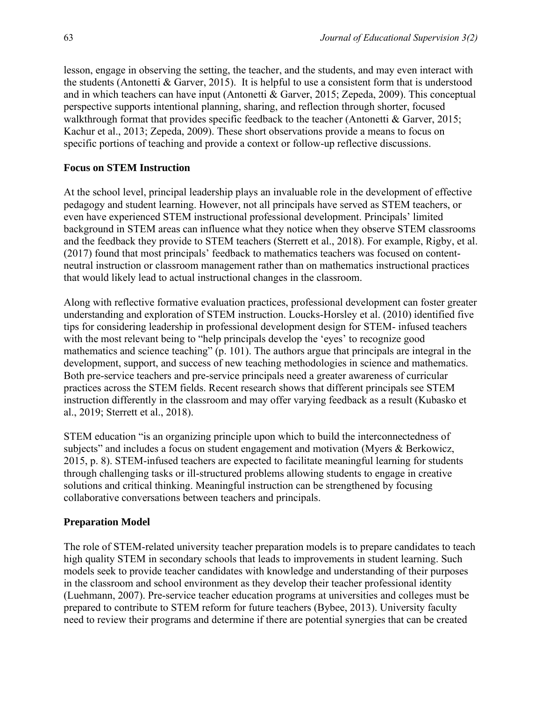lesson, engage in observing the setting, the teacher, and the students, and may even interact with the students (Antonetti  $&$  Garver, 2015). It is helpful to use a consistent form that is understood and in which teachers can have input (Antonetti & Garver, 2015; Zepeda, 2009). This conceptual perspective supports intentional planning, sharing, and reflection through shorter, focused walkthrough format that provides specific feedback to the teacher (Antonetti & Garver, 2015; Kachur et al., 2013; Zepeda, 2009). These short observations provide a means to focus on specific portions of teaching and provide a context or follow-up reflective discussions.

#### **Focus on STEM Instruction**

At the school level, principal leadership plays an invaluable role in the development of effective pedagogy and student learning. However, not all principals have served as STEM teachers, or even have experienced STEM instructional professional development. Principals' limited background in STEM areas can influence what they notice when they observe STEM classrooms and the feedback they provide to STEM teachers (Sterrett et al., 2018). For example, Rigby, et al. (2017) found that most principals' feedback to mathematics teachers was focused on contentneutral instruction or classroom management rather than on mathematics instructional practices that would likely lead to actual instructional changes in the classroom.

Along with reflective formative evaluation practices, professional development can foster greater understanding and exploration of STEM instruction. Loucks-Horsley et al. (2010) identified five tips for considering leadership in professional development design for STEM- infused teachers with the most relevant being to "help principals develop the 'eyes' to recognize good mathematics and science teaching" (p. 101). The authors argue that principals are integral in the development, support, and success of new teaching methodologies in science and mathematics. Both pre-service teachers and pre-service principals need a greater awareness of curricular practices across the STEM fields. Recent research shows that different principals see STEM instruction differently in the classroom and may offer varying feedback as a result (Kubasko et al., 2019; Sterrett et al., 2018).

STEM education "is an organizing principle upon which to build the interconnectedness of subjects" and includes a focus on student engagement and motivation (Myers & Berkowicz, 2015, p. 8). STEM-infused teachers are expected to facilitate meaningful learning for students through challenging tasks or ill-structured problems allowing students to engage in creative solutions and critical thinking. Meaningful instruction can be strengthened by focusing collaborative conversations between teachers and principals.

#### **Preparation Model**

The role of STEM-related university teacher preparation models is to prepare candidates to teach high quality STEM in secondary schools that leads to improvements in student learning. Such models seek to provide teacher candidates with knowledge and understanding of their purposes in the classroom and school environment as they develop their teacher professional identity (Luehmann, 2007). Pre-service teacher education programs at universities and colleges must be prepared to contribute to STEM reform for future teachers (Bybee, 2013). University faculty need to review their programs and determine if there are potential synergies that can be created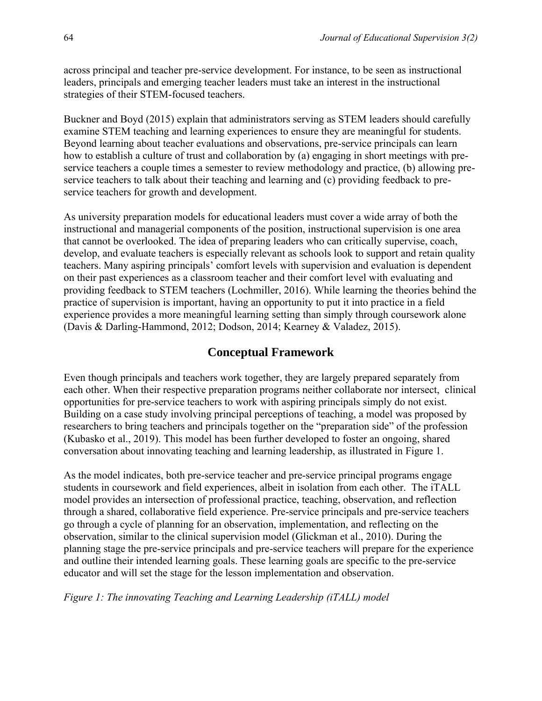across principal and teacher pre-service development. For instance, to be seen as instructional leaders, principals and emerging teacher leaders must take an interest in the instructional strategies of their STEM-focused teachers.

Buckner and Boyd (2015) explain that administrators serving as STEM leaders should carefully examine STEM teaching and learning experiences to ensure they are meaningful for students. Beyond learning about teacher evaluations and observations, pre-service principals can learn how to establish a culture of trust and collaboration by (a) engaging in short meetings with preservice teachers a couple times a semester to review methodology and practice, (b) allowing preservice teachers to talk about their teaching and learning and (c) providing feedback to preservice teachers for growth and development.

As university preparation models for educational leaders must cover a wide array of both the instructional and managerial components of the position, instructional supervision is one area that cannot be overlooked. The idea of preparing leaders who can critically supervise, coach, develop, and evaluate teachers is especially relevant as schools look to support and retain quality teachers. Many aspiring principals' comfort levels with supervision and evaluation is dependent on their past experiences as a classroom teacher and their comfort level with evaluating and providing feedback to STEM teachers (Lochmiller, 2016). While learning the theories behind the practice of supervision is important, having an opportunity to put it into practice in a field experience provides a more meaningful learning setting than simply through coursework alone (Davis & Darling-Hammond, 2012; Dodson, 2014; Kearney & Valadez, 2015).

## **Conceptual Framework**

Even though principals and teachers work together, they are largely prepared separately from each other. When their respective preparation programs neither collaborate nor intersect, clinical opportunities for pre-service teachers to work with aspiring principals simply do not exist. Building on a case study involving principal perceptions of teaching, a model was proposed by researchers to bring teachers and principals together on the "preparation side" of the profession (Kubasko et al., 2019). This model has been further developed to foster an ongoing, shared conversation about innovating teaching and learning leadership, as illustrated in Figure 1.

As the model indicates, both pre-service teacher and pre-service principal programs engage students in coursework and field experiences, albeit in isolation from each other. The iTALL model provides an intersection of professional practice, teaching, observation, and reflection through a shared, collaborative field experience. Pre-service principals and pre-service teachers go through a cycle of planning for an observation, implementation, and reflecting on the observation, similar to the clinical supervision model (Glickman et al., 2010). During the planning stage the pre-service principals and pre-service teachers will prepare for the experience and outline their intended learning goals. These learning goals are specific to the pre-service educator and will set the stage for the lesson implementation and observation.

#### *Figure 1: The innovating Teaching and Learning Leadership (iTALL) model*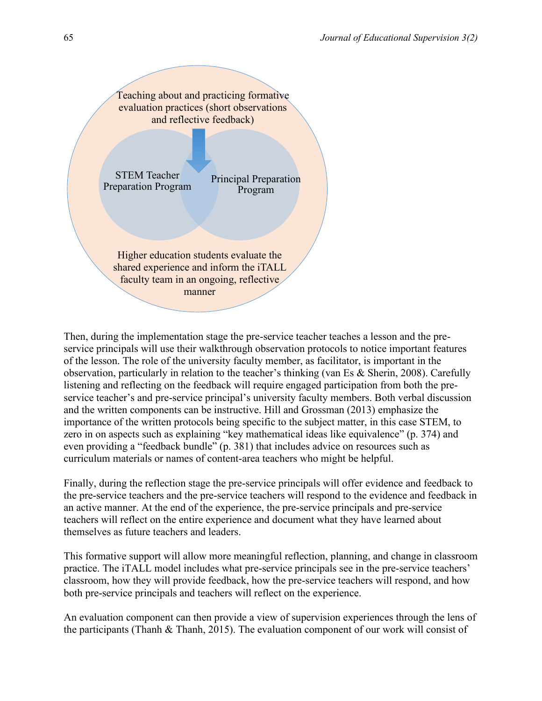

Then, during the implementation stage the pre-service teacher teaches a lesson and the preservice principals will use their walkthrough observation protocols to notice important features of the lesson. The role of the university faculty member, as facilitator, is important in the observation, particularly in relation to the teacher's thinking (van Es & Sherin, 2008). Carefully listening and reflecting on the feedback will require engaged participation from both the preservice teacher's and pre-service principal's university faculty members. Both verbal discussion and the written components can be instructive. Hill and Grossman (2013) emphasize the importance of the written protocols being specific to the subject matter, in this case STEM, to zero in on aspects such as explaining "key mathematical ideas like equivalence" (p. 374) and even providing a "feedback bundle" (p. 381) that includes advice on resources such as curriculum materials or names of content-area teachers who might be helpful.

Finally, during the reflection stage the pre-service principals will offer evidence and feedback to the pre-service teachers and the pre-service teachers will respond to the evidence and feedback in an active manner. At the end of the experience, the pre-service principals and pre-service teachers will reflect on the entire experience and document what they have learned about themselves as future teachers and leaders.

This formative support will allow more meaningful reflection, planning, and change in classroom practice. The iTALL model includes what pre-service principals see in the pre-service teachers' classroom, how they will provide feedback, how the pre-service teachers will respond, and how both pre-service principals and teachers will reflect on the experience.

An evaluation component can then provide a view of supervision experiences through the lens of the participants (Thanh & Thanh, 2015). The evaluation component of our work will consist of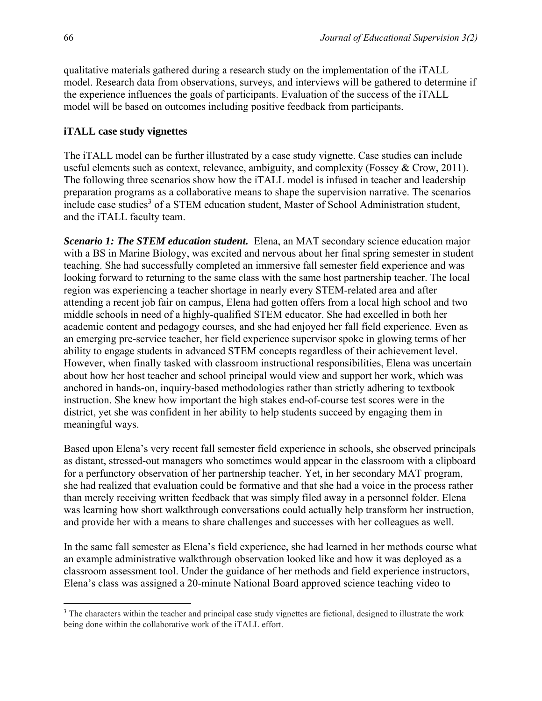qualitative materials gathered during a research study on the implementation of the iTALL model. Research data from observations, surveys, and interviews will be gathered to determine if the experience influences the goals of participants. Evaluation of the success of the iTALL model will be based on outcomes including positive feedback from participants.

#### **iTALL case study vignettes**

The iTALL model can be further illustrated by a case study vignette. Case studies can include useful elements such as context, relevance, ambiguity, and complexity (Fossey & Crow, 2011). The following three scenarios show how the iTALL model is infused in teacher and leadership preparation programs as a collaborative means to shape the supervision narrative. The scenarios include case studies<sup>3</sup> of a STEM education student, Master of School Administration student, and the iTALL faculty team.

*Scenario 1: The STEM education student.* Elena, an MAT secondary science education major with a BS in Marine Biology, was excited and nervous about her final spring semester in student teaching. She had successfully completed an immersive fall semester field experience and was looking forward to returning to the same class with the same host partnership teacher. The local region was experiencing a teacher shortage in nearly every STEM-related area and after attending a recent job fair on campus, Elena had gotten offers from a local high school and two middle schools in need of a highly-qualified STEM educator. She had excelled in both her academic content and pedagogy courses, and she had enjoyed her fall field experience. Even as an emerging pre-service teacher, her field experience supervisor spoke in glowing terms of her ability to engage students in advanced STEM concepts regardless of their achievement level. However, when finally tasked with classroom instructional responsibilities, Elena was uncertain about how her host teacher and school principal would view and support her work, which was anchored in hands-on, inquiry-based methodologies rather than strictly adhering to textbook instruction. She knew how important the high stakes end-of-course test scores were in the district, yet she was confident in her ability to help students succeed by engaging them in meaningful ways.

Based upon Elena's very recent fall semester field experience in schools, she observed principals as distant, stressed-out managers who sometimes would appear in the classroom with a clipboard for a perfunctory observation of her partnership teacher. Yet, in her secondary MAT program, she had realized that evaluation could be formative and that she had a voice in the process rather than merely receiving written feedback that was simply filed away in a personnel folder. Elena was learning how short walkthrough conversations could actually help transform her instruction, and provide her with a means to share challenges and successes with her colleagues as well.

In the same fall semester as Elena's field experience, she had learned in her methods course what an example administrative walkthrough observation looked like and how it was deployed as a classroom assessment tool. Under the guidance of her methods and field experience instructors, Elena's class was assigned a 20-minute National Board approved science teaching video to

<sup>&</sup>lt;sup>3</sup> The characters within the teacher and principal case study vignettes are fictional, designed to illustrate the work being done within the collaborative work of the iTALL effort.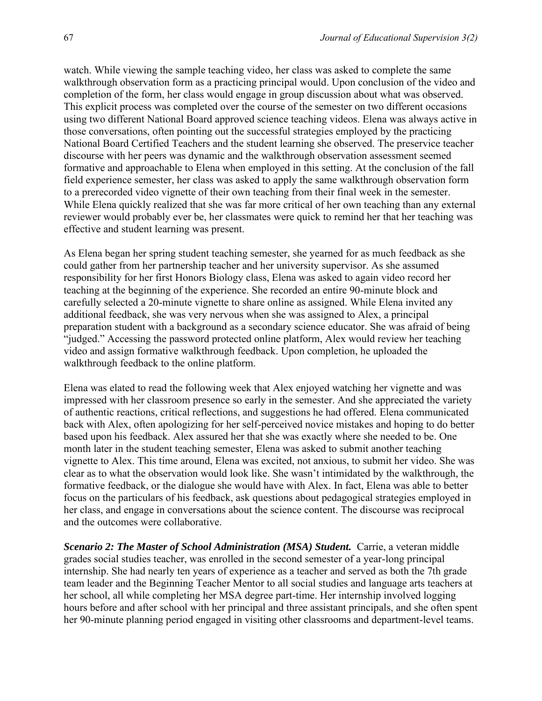watch. While viewing the sample teaching video, her class was asked to complete the same walkthrough observation form as a practicing principal would. Upon conclusion of the video and completion of the form, her class would engage in group discussion about what was observed. This explicit process was completed over the course of the semester on two different occasions using two different National Board approved science teaching videos. Elena was always active in those conversations, often pointing out the successful strategies employed by the practicing National Board Certified Teachers and the student learning she observed. The preservice teacher discourse with her peers was dynamic and the walkthrough observation assessment seemed formative and approachable to Elena when employed in this setting. At the conclusion of the fall field experience semester, her class was asked to apply the same walkthrough observation form to a prerecorded video vignette of their own teaching from their final week in the semester. While Elena quickly realized that she was far more critical of her own teaching than any external reviewer would probably ever be, her classmates were quick to remind her that her teaching was effective and student learning was present.

As Elena began her spring student teaching semester, she yearned for as much feedback as she could gather from her partnership teacher and her university supervisor. As she assumed responsibility for her first Honors Biology class, Elena was asked to again video record her teaching at the beginning of the experience. She recorded an entire 90-minute block and carefully selected a 20-minute vignette to share online as assigned. While Elena invited any additional feedback, she was very nervous when she was assigned to Alex, a principal preparation student with a background as a secondary science educator. She was afraid of being "judged." Accessing the password protected online platform, Alex would review her teaching video and assign formative walkthrough feedback. Upon completion, he uploaded the walkthrough feedback to the online platform.

Elena was elated to read the following week that Alex enjoyed watching her vignette and was impressed with her classroom presence so early in the semester. And she appreciated the variety of authentic reactions, critical reflections, and suggestions he had offered. Elena communicated back with Alex, often apologizing for her self-perceived novice mistakes and hoping to do better based upon his feedback. Alex assured her that she was exactly where she needed to be. One month later in the student teaching semester, Elena was asked to submit another teaching vignette to Alex. This time around, Elena was excited, not anxious, to submit her video. She was clear as to what the observation would look like. She wasn't intimidated by the walkthrough, the formative feedback, or the dialogue she would have with Alex. In fact, Elena was able to better focus on the particulars of his feedback, ask questions about pedagogical strategies employed in her class, and engage in conversations about the science content. The discourse was reciprocal and the outcomes were collaborative.

*Scenario 2: The Master of School Administration (MSA) Student.* Carrie, a veteran middle grades social studies teacher, was enrolled in the second semester of a year-long principal internship. She had nearly ten years of experience as a teacher and served as both the 7th grade team leader and the Beginning Teacher Mentor to all social studies and language arts teachers at her school, all while completing her MSA degree part-time. Her internship involved logging hours before and after school with her principal and three assistant principals, and she often spent her 90-minute planning period engaged in visiting other classrooms and department-level teams.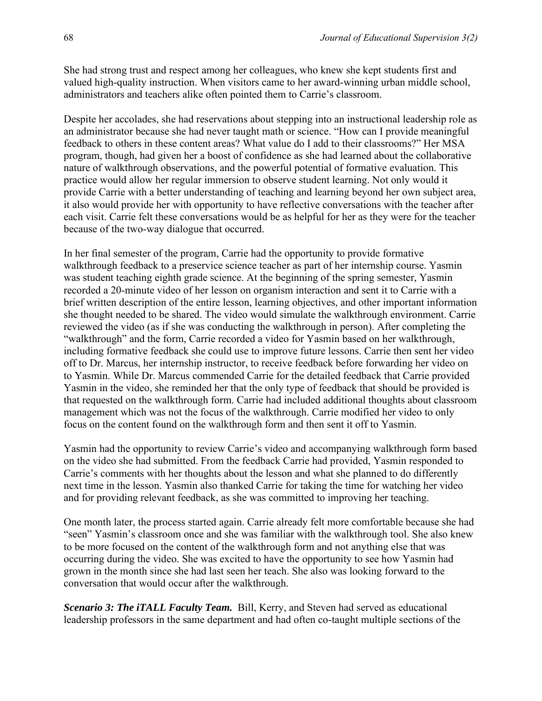She had strong trust and respect among her colleagues, who knew she kept students first and valued high-quality instruction. When visitors came to her award-winning urban middle school, administrators and teachers alike often pointed them to Carrie's classroom.

Despite her accolades, she had reservations about stepping into an instructional leadership role as an administrator because she had never taught math or science. "How can I provide meaningful feedback to others in these content areas? What value do I add to their classrooms?" Her MSA program, though, had given her a boost of confidence as she had learned about the collaborative nature of walkthrough observations, and the powerful potential of formative evaluation. This practice would allow her regular immersion to observe student learning. Not only would it provide Carrie with a better understanding of teaching and learning beyond her own subject area, it also would provide her with opportunity to have reflective conversations with the teacher after each visit. Carrie felt these conversations would be as helpful for her as they were for the teacher because of the two-way dialogue that occurred.

In her final semester of the program, Carrie had the opportunity to provide formative walkthrough feedback to a preservice science teacher as part of her internship course. Yasmin was student teaching eighth grade science. At the beginning of the spring semester, Yasmin recorded a 20-minute video of her lesson on organism interaction and sent it to Carrie with a brief written description of the entire lesson, learning objectives, and other important information she thought needed to be shared. The video would simulate the walkthrough environment. Carrie reviewed the video (as if she was conducting the walkthrough in person). After completing the "walkthrough" and the form, Carrie recorded a video for Yasmin based on her walkthrough, including formative feedback she could use to improve future lessons. Carrie then sent her video off to Dr. Marcus, her internship instructor, to receive feedback before forwarding her video on to Yasmin. While Dr. Marcus commended Carrie for the detailed feedback that Carrie provided Yasmin in the video, she reminded her that the only type of feedback that should be provided is that requested on the walkthrough form. Carrie had included additional thoughts about classroom management which was not the focus of the walkthrough. Carrie modified her video to only focus on the content found on the walkthrough form and then sent it off to Yasmin.

Yasmin had the opportunity to review Carrie's video and accompanying walkthrough form based on the video she had submitted. From the feedback Carrie had provided, Yasmin responded to Carrie's comments with her thoughts about the lesson and what she planned to do differently next time in the lesson. Yasmin also thanked Carrie for taking the time for watching her video and for providing relevant feedback, as she was committed to improving her teaching.

One month later, the process started again. Carrie already felt more comfortable because she had "seen" Yasmin's classroom once and she was familiar with the walkthrough tool. She also knew to be more focused on the content of the walkthrough form and not anything else that was occurring during the video. She was excited to have the opportunity to see how Yasmin had grown in the month since she had last seen her teach. She also was looking forward to the conversation that would occur after the walkthrough.

*Scenario 3: The iTALL Faculty Team.* Bill, Kerry, and Steven had served as educational leadership professors in the same department and had often co-taught multiple sections of the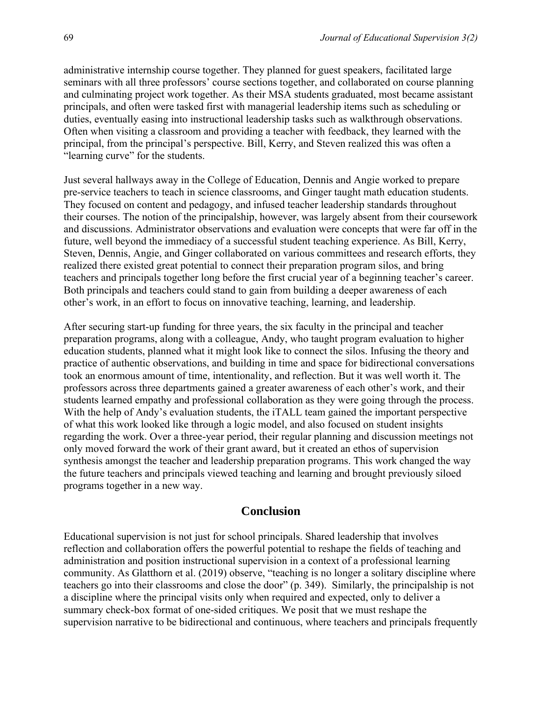administrative internship course together. They planned for guest speakers, facilitated large seminars with all three professors' course sections together, and collaborated on course planning and culminating project work together. As their MSA students graduated, most became assistant principals, and often were tasked first with managerial leadership items such as scheduling or duties, eventually easing into instructional leadership tasks such as walkthrough observations. Often when visiting a classroom and providing a teacher with feedback, they learned with the principal, from the principal's perspective. Bill, Kerry, and Steven realized this was often a "learning curve" for the students.

Just several hallways away in the College of Education, Dennis and Angie worked to prepare pre-service teachers to teach in science classrooms, and Ginger taught math education students. They focused on content and pedagogy, and infused teacher leadership standards throughout their courses. The notion of the principalship, however, was largely absent from their coursework and discussions. Administrator observations and evaluation were concepts that were far off in the future, well beyond the immediacy of a successful student teaching experience. As Bill, Kerry, Steven, Dennis, Angie, and Ginger collaborated on various committees and research efforts, they realized there existed great potential to connect their preparation program silos, and bring teachers and principals together long before the first crucial year of a beginning teacher's career. Both principals and teachers could stand to gain from building a deeper awareness of each other's work, in an effort to focus on innovative teaching, learning, and leadership.

After securing start-up funding for three years, the six faculty in the principal and teacher preparation programs, along with a colleague, Andy, who taught program evaluation to higher education students, planned what it might look like to connect the silos. Infusing the theory and practice of authentic observations, and building in time and space for bidirectional conversations took an enormous amount of time, intentionality, and reflection. But it was well worth it. The professors across three departments gained a greater awareness of each other's work, and their students learned empathy and professional collaboration as they were going through the process. With the help of Andy's evaluation students, the iTALL team gained the important perspective of what this work looked like through a logic model, and also focused on student insights regarding the work. Over a three-year period, their regular planning and discussion meetings not only moved forward the work of their grant award, but it created an ethos of supervision synthesis amongst the teacher and leadership preparation programs. This work changed the way the future teachers and principals viewed teaching and learning and brought previously siloed programs together in a new way.

#### **Conclusion**

Educational supervision is not just for school principals. Shared leadership that involves reflection and collaboration offers the powerful potential to reshape the fields of teaching and administration and position instructional supervision in a context of a professional learning community. As Glatthorn et al. (2019) observe, "teaching is no longer a solitary discipline where teachers go into their classrooms and close the door" (p. 349). Similarly, the principalship is not a discipline where the principal visits only when required and expected, only to deliver a summary check-box format of one-sided critiques. We posit that we must reshape the supervision narrative to be bidirectional and continuous, where teachers and principals frequently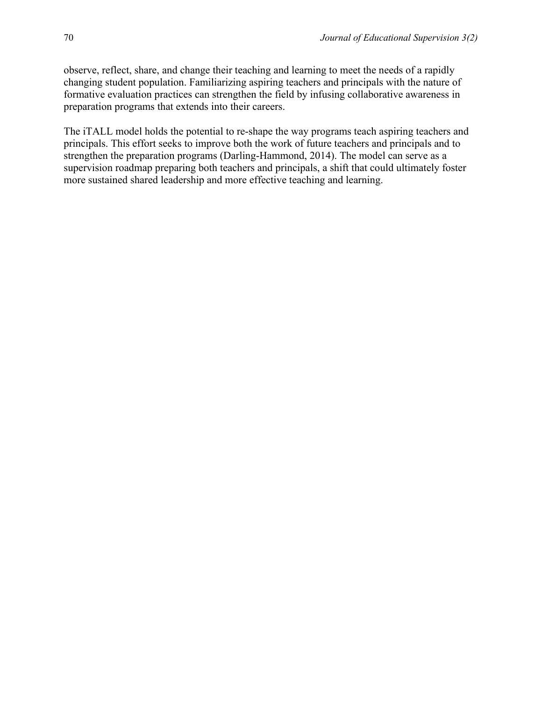observe, reflect, share, and change their teaching and learning to meet the needs of a rapidly changing student population. Familiarizing aspiring teachers and principals with the nature of formative evaluation practices can strengthen the field by infusing collaborative awareness in preparation programs that extends into their careers.

The iTALL model holds the potential to re-shape the way programs teach aspiring teachers and principals. This effort seeks to improve both the work of future teachers and principals and to strengthen the preparation programs (Darling-Hammond, 2014). The model can serve as a supervision roadmap preparing both teachers and principals, a shift that could ultimately foster more sustained shared leadership and more effective teaching and learning.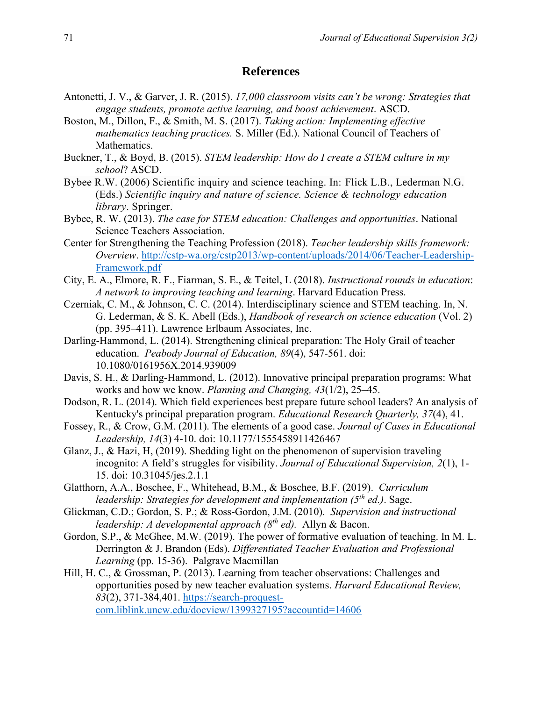#### **References**

- Antonetti, J. V., & Garver, J. R. (2015). *17,000 classroom visits can't be wrong: Strategies that engage students, promote active learning, and boost achievement*. ASCD.
- Boston, M., Dillon, F., & Smith, M. S. (2017). *Taking action: Implementing effective mathematics teaching practices.* S. Miller (Ed.). National Council of Teachers of Mathematics.
- Buckner, T., & Boyd, B. (2015). *STEM leadership: How do I create a STEM culture in my school*? ASCD.
- Bybee R.W. (2006) Scientific inquiry and science teaching. In: Flick L.B., Lederman N.G. (Eds.) *Scientific inquiry and nature of science. Science & technology education library*. Springer.
- Bybee, R. W. (2013). *The case for STEM education: Challenges and opportunities*. National Science Teachers Association.
- Center for Strengthening the Teaching Profession (2018). *Teacher leadership skills framework: Overview*. [http://cstp-wa.org/cstp2013/wp-content/uploads/2014/06/Teacher-Leadership-](http://cstp-wa.org/cstp2013/wp-content/uploads/2014/06/Teacher-Leadership-Framework.pdf)[Framework.pdf](http://cstp-wa.org/cstp2013/wp-content/uploads/2014/06/Teacher-Leadership-Framework.pdf)
- City, E. A., Elmore, R. F., Fiarman, S. E., & Teitel, L (2018). *Instructional rounds in education*: *A network to improving teaching and learning*. Harvard Education Press.
- Czerniak, C. M., & Johnson, C. C. (2014). Interdisciplinary science and STEM teaching. In, N. G. Lederman, & S. K. Abell (Eds.), *Handbook of research on science education* (Vol. 2) (pp. 395–411). Lawrence Erlbaum Associates, Inc.
- Darling-Hammond, L. (2014). Strengthening clinical preparation: The Holy Grail of teacher education. *Peabody Journal of Education, 89*(4), 547-561. doi: [10.1080/0161956X.2014.939009](https://doi.org/10.1080/0161956X.2014.939009)
- Davis, S. H., & Darling-Hammond, L. (2012). Innovative principal preparation programs: What works and how we know. *Planning and Changing, 43*(1/2), 25–45.
- Dodson, R. L. (2014). Which field experiences best prepare future school leaders? An analysis of Kentucky's principal preparation program. *Educational Research Quarterly, 37*(4), 41.
- Fossey, R., & Crow, G.M. (2011). The elements of a good case. *Journal of Cases in Educational Leadership, 14*(3) 4-10. doi: [10.1177/1555458911426467](https://www.researchgate.net/deref/http%3A%2F%2Fdx.doi.org%2F10.1177%2F1555458911426467)
- Glanz, J., & Hazi, H, (2019). Shedding light on the phenomenon of supervision traveling incognito: A field's struggles for visibility. *Journal of Educational Supervision, 2*(1), 1- 15. doi: 10.31045/jes.2.1.1
- Glatthorn, A.A., Boschee, F., Whitehead, B.M., & Boschee, B.F. (2019). *Curriculum leadership: Strategies for development and implementation (5th ed.)*. Sage.
- Glickman, C.D.; Gordon, S. P.; & Ross-Gordon, J.M. (2010). *Supervision and instructional leadership: A developmental approach (8th ed).* Allyn & Bacon.
- Gordon, S.P., & McGhee, M.W. (2019). The power of formative evaluation of teaching. In M. L. Derrington & J. Brandon (Eds). *Differentiated Teacher Evaluation and Professional Learning* (pp. 15-36). Palgrave Macmillan
- Hill, H. C., & Grossman, P. (2013). Learning from teacher observations: Challenges and opportunities posed by new teacher evaluation systems. *Harvard Educational Review, 83*(2), 371-384,401. [https://search-proquest](https://search-proquest-com.liblink.uncw.edu/docview/1399327195?accountid=14606)[com.liblink.uncw.edu/docview/1399327195?accountid=14606](https://search-proquest-com.liblink.uncw.edu/docview/1399327195?accountid=14606)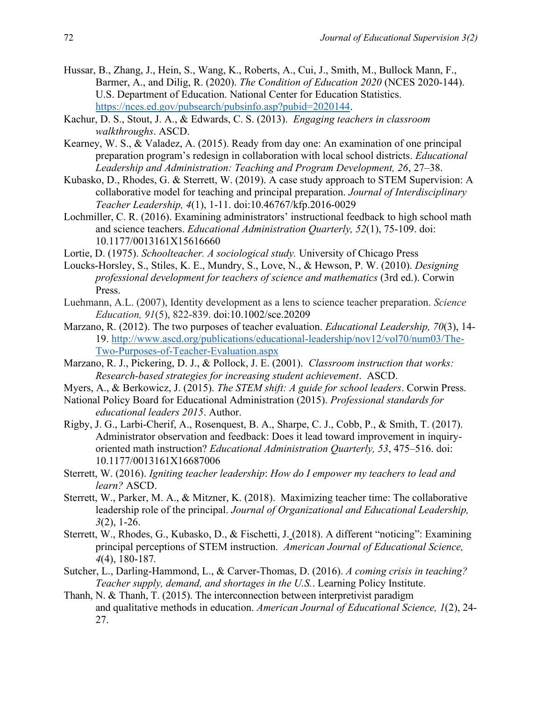- Hussar, B., Zhang, J., Hein, S., Wang, K., Roberts, A., Cui, J., Smith, M., Bullock Mann, F., Barmer, A., and Dilig, R. (2020). *The Condition of Education 2020* (NCES 2020-144). U.S. Department of Education. National Center for Education Statistics. [https://nces.ed.gov/pubsearch/pubsinfo.asp?pubid=2020144.](https://nces.ed.gov/pubsearch/pubsinfo.asp?pubid=2020144)
- Kachur, D. S., Stout, J. A., & Edwards, C. S. (2013). *Engaging teachers in classroom walkthroughs*. ASCD.
- Kearney, W. S., & Valadez, A. (2015). Ready from day one: An examination of one principal preparation program's redesign in collaboration with local school districts. *Educational Leadership and Administration: Teaching and Program Development, 26*, 27–38.
- Kubasko, D., Rhodes, G. & Sterrett, W. (2019). A case study approach to STEM Supervision: A collaborative model for teaching and principal preparation. *Journal of Interdisciplinary Teacher Leadership, 4*(1), 1-11. doi[:10.46767/kfp.2016-0029](https://www.researchgate.net/deref/http%3A%2F%2Fdx.doi.org%2F10.46767%2Fkfp.2016-0029)
- Lochmiller, C. R. (2016). Examining administrators' instructional feedback to high school math and science teachers. *Educational Administration Quarterly, 52*(1), 75-109. doi: [10.1177/0013161X15616660](https://doi.org/10.1177/0013161X15616660)
- Lortie, D. (1975). *Schoolteacher. A sociological study.* University of Chicago Press
- Loucks-Horsley, S., Stiles, K. E., Mundry, S., Love, N., & Hewson, P. W. (2010). *Designing professional development for teachers of science and mathematics* (3rd ed.). Corwin Press.
- Luehmann, A.L. (2007), Identity development as a lens to science teacher preparation. *Science Education, 91*(5), 822-839. doi[:10.1002/sce.20209](https://doi.org/10.1002/sce.20209)
- Marzano, R. (2012). The two purposes of teacher evaluation. *Educational Leadership, 70*(3), 14- 19. [http://www.ascd.org/publications/educational-leadership/nov12/vol70/num03/The-](http://www.ascd.org/publications/educational-leadership/nov12/vol70/num03/The-Two-Purposes-of-Teacher-Evaluation.aspx)[Two-Purposes-of-Teacher-Evaluation.aspx](http://www.ascd.org/publications/educational-leadership/nov12/vol70/num03/The-Two-Purposes-of-Teacher-Evaluation.aspx)
- Marzano, R. J., Pickering, D. J., & Pollock, J. E. (2001). *Classroom instruction that works: Research-based strategies for increasing student achievement*. ASCD.
- Myers, A., & Berkowicz, J. (2015). *The STEM shift: A guide for school leaders*. Corwin Press.
- National Policy Board for Educational Administration (2015). *Professional standards for educational leaders 2015*. Author.
- Rigby, J. G., Larbi-Cherif, A., Rosenquest, B. A., Sharpe, C. J., Cobb, P., & Smith, T. (2017). Administrator observation and feedback: Does it lead toward improvement in inquiryoriented math instruction? *Educational Administration Quarterly, 53*, 475–516. doi: [10.1177/0013161X16687006](https://journals.sagepub.com/doi/10.1177/0013161X16687006)
- Sterrett, W. (2016). *Igniting teacher leadership*: *How do I empower my teachers to lead and learn?* ASCD.
- Sterrett, W., Parker, M. A., & Mitzner, K. (2018). Maximizing teacher time: The collaborative leadership role of the principal. *Journal of Organizational and Educational Leadership, 3*(2), 1-26.
- Sterrett, W., Rhodes, G., Kubasko, D., & Fischetti, J. (2018). A different "noticing": Examining principal perceptions of STEM instruction. *American Journal of Educational Science, 4*(4), 180-187*.*
- Sutcher, L., Darling-Hammond, L., & Carver-Thomas, D. (2016). *A coming crisis in teaching? Teacher supply, demand, and shortages in the U.S.*. Learning Policy Institute.
- Thanh, N. & Thanh, T. (2015). The interconnection between interpretivist paradigm and qualitative methods in education. *American Journal of Educational Science, 1*(2), 24- 27.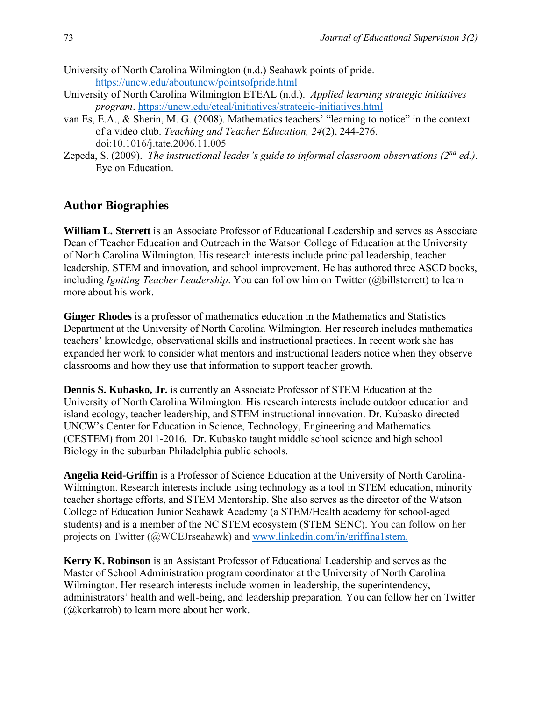- University of North Carolina Wilmington (n.d.) Seahawk points of pride. <https://uncw.edu/aboutuncw/pointsofpride.html>
- University of North Carolina Wilmington ETEAL (n.d.). *Applied learning strategic initiatives program*.<https://uncw.edu/eteal/initiatives/strategic-initiatives.html>
- van Es, E.A., & Sherin, M. G. (2008). Mathematics teachers' "learning to notice" in the context of a video club. *Teaching and Teacher Education, 24*(2), 244-276. doi[:10.1016/j.tate.2006.11.005](https://www.researchgate.net/deref/http%3A%2F%2Fdx.doi.org%2F10.1016%2Fj.tate.2006.11.005)
- Zepeda, S. (2009). *The instructional leader's guide to informal classroom observations (2nd ed.).*  Eye on Education.

### **Author Biographies**

**William L. Sterrett** is an Associate Professor of Educational Leadership and serves as Associate Dean of Teacher Education and Outreach in the Watson College of Education at the University of North Carolina Wilmington. His research interests include principal leadership, teacher leadership, STEM and innovation, and school improvement. He has authored three ASCD books, including *Igniting Teacher Leadership*. You can follow him on Twitter (@billsterrett) to learn more about his work.

**Ginger Rhodes** is a professor of mathematics education in the Mathematics and Statistics Department at the University of North Carolina Wilmington. Her research includes mathematics teachers' knowledge, observational skills and instructional practices. In recent work she has expanded her work to consider what mentors and instructional leaders notice when they observe classrooms and how they use that information to support teacher growth.

**Dennis S. Kubasko, Jr.** is currently an Associate Professor of STEM Education at the University of North Carolina Wilmington. His research interests include outdoor education and island ecology, teacher leadership, and STEM instructional innovation. Dr. Kubasko directed UNCW's Center for Education in Science, Technology, Engineering and Mathematics (CESTEM) from 2011-2016. Dr. Kubasko taught middle school science and high school Biology in the suburban Philadelphia public schools.

**Angelia Reid-Griffin** is a Professor of Science Education at the University of North Carolina-Wilmington. Research interests include using technology as a tool in STEM education, minority teacher shortage efforts, and STEM Mentorship. She also serves as the director of the Watson College of Education Junior Seahawk Academy (a STEM/Health academy for school-aged students) and is a member of the NC STEM ecosystem (STEM SENC). You can follow on her projects on Twitter (@WCEJrseahawk) and [www.linkedin.com/in/griffina1stem.](https://nam05.safelinks.protection.outlook.com/?url=http%3A%2F%2Fwww.linkedin.com%2Fin%2Fgriffina1stem&data=01%7C01%7Csterrettw%40uncw.edu%7C9625d6897eda448ebde308d8597cb235%7C2213678197534c75af2868a078871ebf%7C1&sdata=QEU6NnvowsCSTrWq8BACDW1mEmsOOZXQ3Zk7UJcGD8M%3D&reserved=0)

**Kerry K. Robinson** is an Assistant Professor of Educational Leadership and serves as the Master of School Administration program coordinator at the University of North Carolina Wilmington. Her research interests include women in leadership, the superintendency, administrators' health and well-being, and leadership preparation. You can follow her on Twitter (@kerkatrob) to learn more about her work.